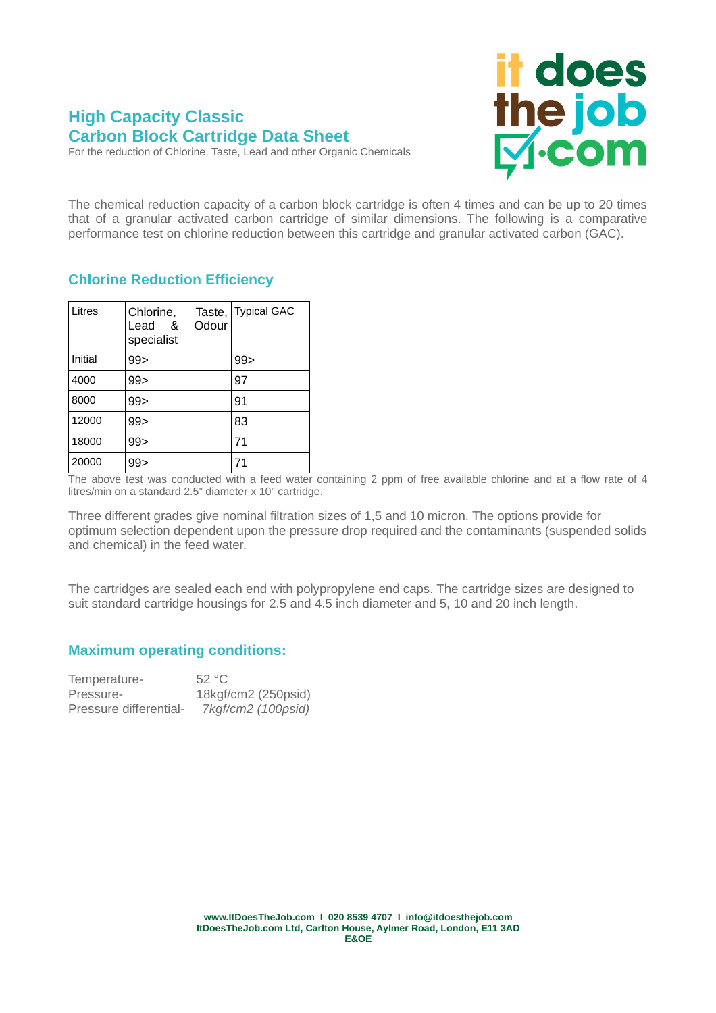## **High Capacity Classic Carbon Block Cartridge Data Sheet**

it does<br>the job<br>Di-com

For the reduction of Chlorine, Taste, Lead and other Organic Chemicals

The chemical reduction capacity of a carbon block cartridge is often 4 times and can be up to 20 times that of a granular activated carbon cartridge of similar dimensions. The following is a comparative performance test on chlorine reduction between this cartridge and granular activated carbon (GAC).

## **Chlorine Reduction Efficiency**

| Litres  | Chlorine,<br>Lead<br>ୡ<br>specialist | Taste,<br>Odour | <b>Typical GAC</b> |
|---------|--------------------------------------|-----------------|--------------------|
| Initial | 99 >                                 |                 | 99                 |
| 4000    | 99 >                                 |                 | 97                 |
| 8000    | 99 >                                 |                 | 91                 |
| 12000   | 99 >                                 |                 | 83                 |
| 18000   | 99 >                                 |                 | 71                 |
| 20000   | 99                                   |                 | 71                 |

The above test was conducted with a feed water containing 2 ppm of free available chlorine and at a flow rate of 4 litres/min on a standard 2.5" diameter x 10" cartridge.

Three different grades give nominal filtration sizes of 1,5 and 10 micron. The options provide for optimum selection dependent upon the pressure drop required and the contaminants (suspended solids and chemical) in the feed water.

The cartridges are sealed each end with polypropylene end caps. The cartridge sizes are designed to suit standard cartridge housings for 2.5 and 4.5 inch diameter and 5, 10 and 20 inch length.

## **Maximum operating conditions:**

| Temperature-           | 52 °C               |
|------------------------|---------------------|
| Pressure-              | 18kgf/cm2 (250psid) |
| Pressure differential- | 7kgf/cm2 (100psid)  |